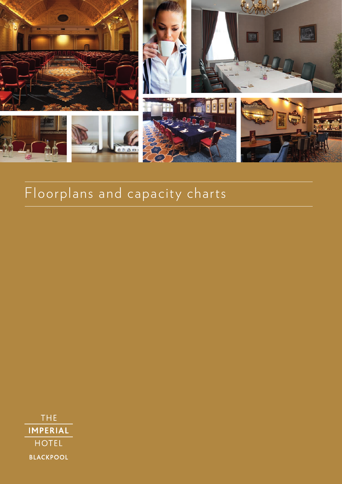

## Floorplans and capacity charts

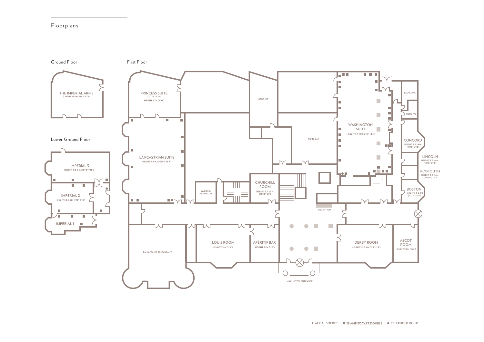

## **A AERIAL SOCKET TELEPHONE POINT**

## Floorplans Floorplans